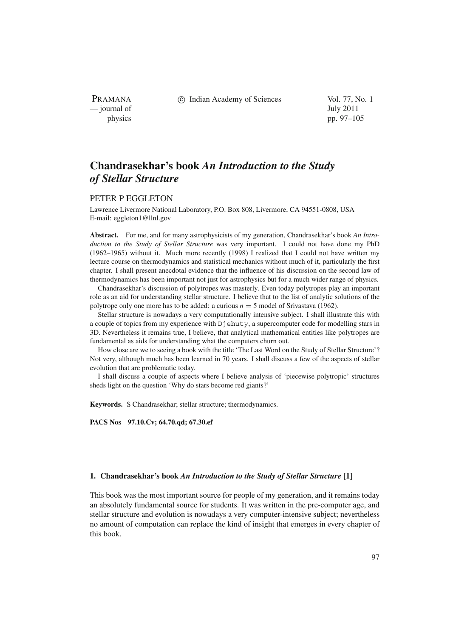PRAMANA — journal of July 2011

c Indian Academy of Sciences Vol. 77, No. 1

physics pp. 97–105

# **Chandrasekhar's book** *An Introduction to the Study of Stellar Structure*

### PETER P EGGLETON

Lawrence Livermore National Laboratory, P.O. Box 808, Livermore, CA 94551-0808, USA E-mail: eggleton1@llnl.gov

**Abstract.** For me, and for many astrophysicists of my generation, Chandrasekhar's book *An Introduction to the Study of Stellar Structure* was very important. I could not have done my PhD (1962–1965) without it. Much more recently (1998) I realized that I could not have written my lecture course on thermodynamics and statistical mechanics without much of it, particularly the first chapter. I shall present anecdotal evidence that the influence of his discussion on the second law of thermodynamics has been important not just for astrophysics but for a much wider range of physics.

Chandrasekhar's discussion of polytropes was masterly. Even today polytropes play an important role as an aid for understanding stellar structure. I believe that to the list of analytic solutions of the polytrope only one more has to be added: a curious *n* = 5 model of Srivastava (1962).

Stellar structure is nowadays a very computationally intensive subject. I shall illustrate this with a couple of topics from my experience with Djehuty, a supercomputer code for modelling stars in 3D. Nevertheless it remains true, I believe, that analytical mathematical entities like polytropes are fundamental as aids for understanding what the computers churn out.

How close are we to seeing a book with the title 'The Last Word on the Study of Stellar Structure'? Not very, although much has been learned in 70 years. I shall discuss a few of the aspects of stellar evolution that are problematic today.

I shall discuss a couple of aspects where I believe analysis of 'piecewise polytropic' structures sheds light on the question 'Why do stars become red giants?'

**Keywords.** S Chandrasekhar; stellar structure; thermodynamics.

**PACS Nos 97.10.Cv; 64.70.qd; 67.30.ef**

### **1. Chandrasekhar's book** *An Introduction to the Study of Stellar Structure* **[1]**

This book was the most important source for people of my generation, and it remains today an absolutely fundamental source for students. It was written in the pre-computer age, and stellar structure and evolution is nowadays a very computer-intensive subject; nevertheless no amount of computation can replace the kind of insight that emerges in every chapter of this book.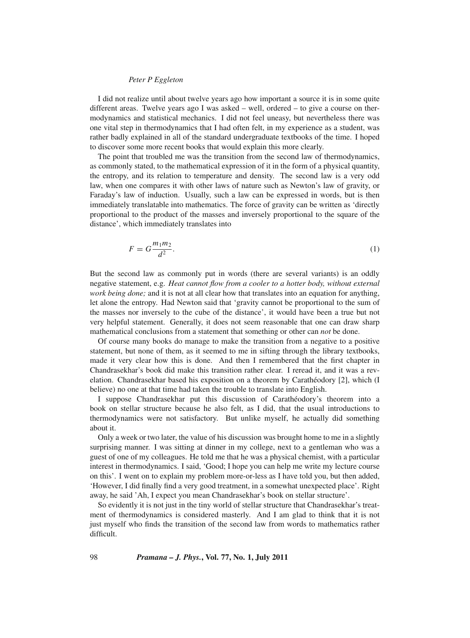### *Peter P Eggleton*

I did not realize until about twelve years ago how important a source it is in some quite different areas. Twelve years ago I was asked – well, ordered – to give a course on thermodynamics and statistical mechanics. I did not feel uneasy, but nevertheless there was one vital step in thermodynamics that I had often felt, in my experience as a student, was rather badly explained in all of the standard undergraduate textbooks of the time. I hoped to discover some more recent books that would explain this more clearly.

The point that troubled me was the transition from the second law of thermodynamics, as commonly stated, to the mathematical expression of it in the form of a physical quantity, the entropy, and its relation to temperature and density. The second law is a very odd law, when one compares it with other laws of nature such as Newton's law of gravity, or Faraday's law of induction. Usually, such a law can be expressed in words, but is then immediately translatable into mathematics. The force of gravity can be written as 'directly proportional to the product of the masses and inversely proportional to the square of the distance', which immediately translates into

$$
F = G \frac{m_1 m_2}{d^2}.
$$
\n<sup>(1)</sup>

But the second law as commonly put in words (there are several variants) is an oddly negative statement, e.g. *Heat cannot flow from a cooler to a hotter body, without external work being done;* and it is not at all clear how that translates into an equation for anything, let alone the entropy. Had Newton said that 'gravity cannot be proportional to the sum of the masses nor inversely to the cube of the distance', it would have been a true but not very helpful statement. Generally, it does not seem reasonable that one can draw sharp mathematical conclusions from a statement that something or other can *not* be done.

Of course many books do manage to make the transition from a negative to a positive statement, but none of them, as it seemed to me in sifting through the library textbooks, made it very clear how this is done. And then I remembered that the first chapter in Chandrasekhar's book did make this transition rather clear. I reread it, and it was a revelation. Chandrasekhar based his exposition on a theorem by Carathéodory [2], which (I believe) no one at that time had taken the trouble to translate into English.

I suppose Chandrasekhar put this discussion of Carathéodory's theorem into a book on stellar structure because he also felt, as I did, that the usual introductions to thermodynamics were not satisfactory. But unlike myself, he actually did something about it.

Only a week or two later, the value of his discussion was brought home to me in a slightly surprising manner. I was sitting at dinner in my college, next to a gentleman who was a guest of one of my colleagues. He told me that he was a physical chemist, with a particular interest in thermodynamics. I said, 'Good; I hope you can help me write my lecture course on this'. I went on to explain my problem more-or-less as I have told you, but then added, 'However, I did finally find a very good treatment, in a somewhat unexpected place'. Right away, he said 'Ah, I expect you mean Chandrasekhar's book on stellar structure'.

So evidently it is not just in the tiny world of stellar structure that Chandrasekhar's treatment of thermodynamics is considered masterly. And I am glad to think that it is not just myself who finds the transition of the second law from words to mathematics rather difficult.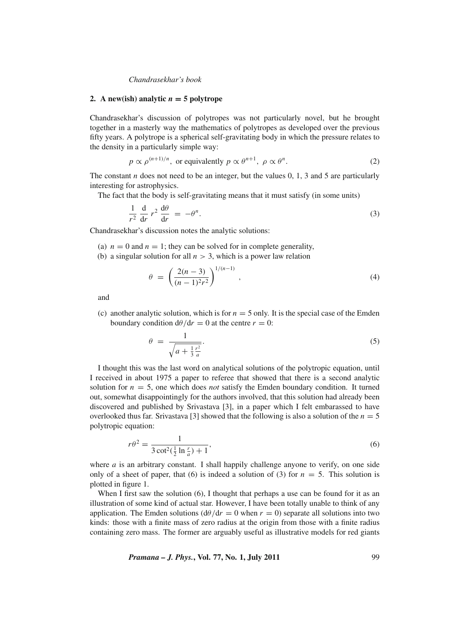### 2. A new(ish) analytic  $n = 5$  polytrope

Chandrasekhar's discussion of polytropes was not particularly novel, but he brought together in a masterly way the mathematics of polytropes as developed over the previous fifty years. A polytrope is a spherical self-gravitating body in which the pressure relates to the density in a particularly simple way:

$$
p \propto \rho^{(n+1)/n}
$$
, or equivalently  $p \propto \theta^{n+1}$ ,  $\rho \propto \theta^n$ . (2)

The constant *n* does not need to be an integer, but the values  $0, 1, 3$  and  $5$  are particularly interesting for astrophysics.

The fact that the body is self-gravitating means that it must satisfy (in some units)

$$
\frac{1}{r^2} \frac{d}{dr} r^2 \frac{d\theta}{dr} = -\theta^n.
$$
\n(3)

Chandrasekhar's discussion notes the analytic solutions:

- (a)  $n = 0$  and  $n = 1$ ; they can be solved for in complete generality,
- (b) a singular solution for all  $n > 3$ , which is a power law relation

$$
\theta = \left(\frac{2(n-3)}{(n-1)^2 r^2}\right)^{1/(n-1)},\tag{4}
$$

and

(c) another analytic solution, which is for  $n = 5$  only. It is the special case of the Emden boundary condition  $d\theta/dr = 0$  at the centre  $r = 0$ :

$$
\theta = \frac{1}{\sqrt{a + \frac{1}{3} \frac{r^2}{a}}}.\tag{5}
$$

I thought this was the last word on analytical solutions of the polytropic equation, until I received in about 1975 a paper to referee that showed that there is a second analytic solution for  $n = 5$ , one which does *not* satisfy the Emden boundary condition. It turned out, somewhat disappointingly for the authors involved, that this solution had already been discovered and published by Srivastava [3], in a paper which I felt embarassed to have overlooked thus far. Srivastava [3] showed that the following is also a solution of the  $n = 5$ polytropic equation:

$$
r\theta^2 = \frac{1}{3\cot^2(\frac{1}{2}\ln\frac{r}{a}) + 1},\tag{6}
$$

where  $a$  is an arbitrary constant. I shall happily challenge anyone to verify, on one side only of a sheet of paper, that (6) is indeed a solution of (3) for  $n = 5$ . This solution is plotted in figure 1.

When I first saw the solution (6), I thought that perhaps a use can be found for it as an illustration of some kind of actual star. However, I have been totally unable to think of any application. The Emden solutions ( $d\theta/dr = 0$  when  $r = 0$ ) separate all solutions into two kinds: those with a finite mass of zero radius at the origin from those with a finite radius containing zero mass. The former are arguably useful as illustrative models for red giants

*Pramana – J. Phys.***, Vol. 77, No. 1, July 2011** 99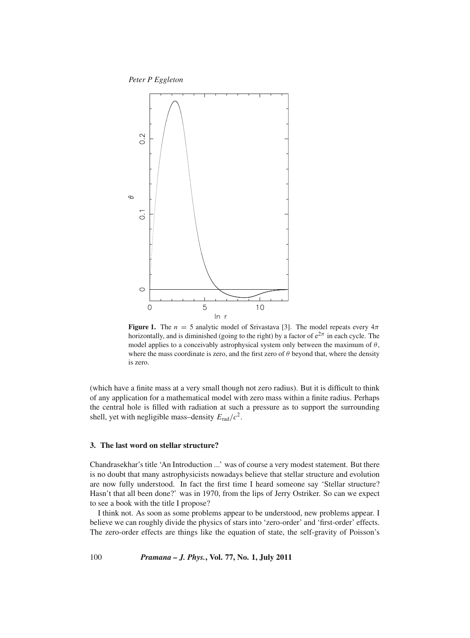*Peter P Eggleton*



**Figure 1.** The  $n = 5$  analytic model of Srivastava [3]. The model repeats every  $4\pi$ horizontally, and is diminished (going to the right) by a factor of  $e^{2\pi}$  in each cycle. The model applies to a conceivably astrophysical system only between the maximum of  $\theta$ , where the mass coordinate is zero, and the first zero of  $\theta$  beyond that, where the density is zero.

(which have a finite mass at a very small though not zero radius). But it is difficult to think of any application for a mathematical model with zero mass within a finite radius. Perhaps the central hole is filled with radiation at such a pressure as to support the surrounding shell, yet with negligible mass–density  $E_{rad}/c^2$ .

## **3. The last word on stellar structure?**

Chandrasekhar's title 'An Introduction ...' was of course a very modest statement. But there is no doubt that many astrophysicists nowadays believe that stellar structure and evolution are now fully understood. In fact the first time I heard someone say 'Stellar structure? Hasn't that all been done?' was in 1970, from the lips of Jerry Ostriker. So can we expect to see a book with the title I propose?

I think not. As soon as some problems appear to be understood, new problems appear. I believe we can roughly divide the physics of stars into 'zero-order' and 'first-order' effects. The zero-order effects are things like the equation of state, the self-gravity of Poisson's

100 *Pramana – J. Phys.***, Vol. 77, No. 1, July 2011**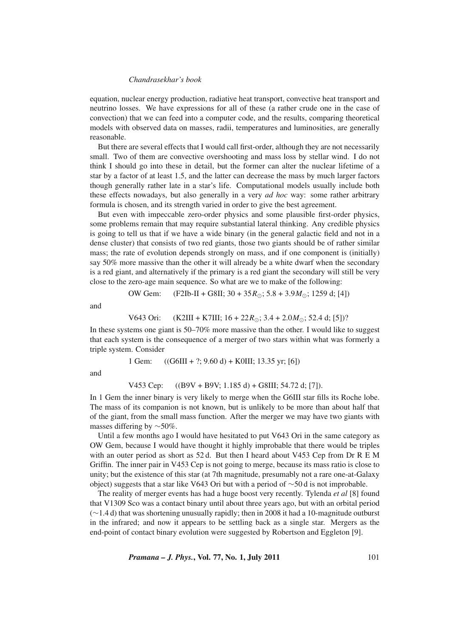equation, nuclear energy production, radiative heat transport, convective heat transport and neutrino losses. We have expressions for all of these (a rather crude one in the case of convection) that we can feed into a computer code, and the results, comparing theoretical models with observed data on masses, radii, temperatures and luminosities, are generally reasonable.

But there are several effects that I would call first-order, although they are not necessarily small. Two of them are convective overshooting and mass loss by stellar wind. I do not think I should go into these in detail, but the former can alter the nuclear lifetime of a star by a factor of at least 1.5, and the latter can decrease the mass by much larger factors though generally rather late in a star's life. Computational models usually include both these effects nowadays, but also generally in a very *ad hoc* way: some rather arbitrary formula is chosen, and its strength varied in order to give the best agreement.

But even with impeccable zero-order physics and some plausible first-order physics, some problems remain that may require substantial lateral thinking. Any credible physics is going to tell us that if we have a wide binary (in the general galactic field and not in a dense cluster) that consists of two red giants, those two giants should be of rather similar mass; the rate of evolution depends strongly on mass, and if one component is (initially) say 50% more massive than the other it will already be a white dwarf when the secondary is a red giant, and alternatively if the primary is a red giant the secondary will still be very close to the zero-age main sequence. So what are we to make of the following:

OW Gem: (F2Ib-II + G8II; 30 + 35
$$
R_{\odot}
$$
; 5.8 + 3.9 $M_{\odot}$ ; 1259 d; [4])

and

V643 Ori: 
$$
(K2III + K7III; 16 + 22R_{\odot}; 3.4 + 2.0M_{\odot}; 52.4 \text{ d}; [5])
$$
?

In these systems one giant is 50–70% more massive than the other. I would like to suggest that each system is the consequence of a merger of two stars within what was formerly a triple system. Consider

1 Gen: 
$$
((G6III + ?; 9.60 d) + KOIII; 13.35 yr; [6])
$$

and

## V453 Cep: ((B9V + B9V; 1.185 d) + G8III; 54.72 d; [7]).

In 1 Gem the inner binary is very likely to merge when the G6III star fills its Roche lobe. The mass of its companion is not known, but is unlikely to be more than about half that of the giant, from the small mass function. After the merger we may have two giants with masses differing by ∼50%.

Until a few months ago I would have hesitated to put V643 Ori in the same category as OW Gem, because I would have thought it highly improbable that there would be triples with an outer period as short as 52 d. But then I heard about V453 Cep from Dr R E M Griffin. The inner pair in V453 Cep is not going to merge, because its mass ratio is close to unity; but the existence of this star (at 7th magnitude, presumably not a rare one-at-Galaxy object) suggests that a star like V643 Ori but with a period of ∼50 d is not improbable.

The reality of merger events has had a huge boost very recently. Tylenda *et al* [8] found that V1309 Sco was a contact binary until about three years ago, but with an orbital period (∼1.4 d) that was shortening unusually rapidly; then in 2008 it had a 10-magnitude outburst in the infrared; and now it appears to be settling back as a single star. Mergers as the end-point of contact binary evolution were suggested by Robertson and Eggleton [9].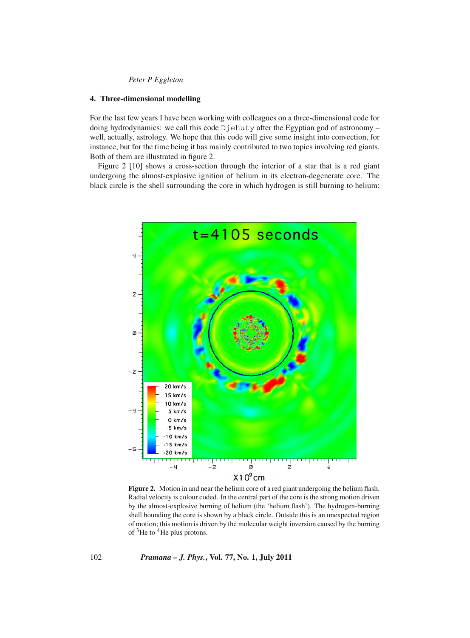# *Peter P Eggleton*

### **4. Three-dimensional modelling**

For the last few years I have been working with colleagues on a three-dimensional code for doing hydrodynamics: we call this code Djehuty after the Egyptian god of astronomy – well, actually, astrology. We hope that this code will give some insight into convection, for instance, but for the time being it has mainly contributed to two topics involving red giants. Both of them are illustrated in figure 2.

Figure 2 [10] shows a cross-section through the interior of a star that is a red giant undergoing the almost-explosive ignition of helium in its electron-degenerate core. The black circle is the shell surrounding the core in which hydrogen is still burning to helium:



Figure 2. Motion in and near the helium core of a red giant undergoing the helium flash. Radial velocity is colour coded. In the central part of the core is the strong motion driven by the almost-explosive burning of helium (the 'helium flash'). The hydrogen-burning shell bounding the core is shown by a black circle. Outside this is an unexpected region of motion; this motion is driven by the molecular weight inversion caused by the burning of  $3$ He to  $4$ He plus protons.

102 *Pramana – J. Phys.***, Vol. 77, No. 1, July 2011**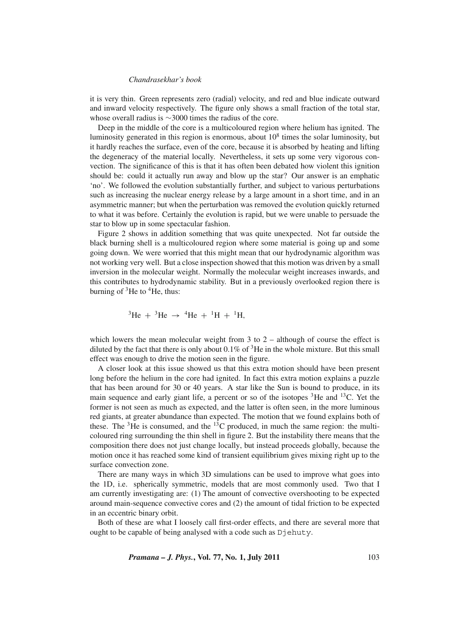it is very thin. Green represents zero (radial) velocity, and red and blue indicate outward and inward velocity respectively. The figure only shows a small fraction of the total star, whose overall radius is ∼3000 times the radius of the core.

Deep in the middle of the core is a multicoloured region where helium has ignited. The luminosity generated in this region is enormous, about  $10<sup>8</sup>$  times the solar luminosity, but it hardly reaches the surface, even of the core, because it is absorbed by heating and lifting the degeneracy of the material locally. Nevertheless, it sets up some very vigorous convection. The significance of this is that it has often been debated how violent this ignition should be: could it actually run away and blow up the star? Our answer is an emphatic 'no'. We followed the evolution substantially further, and subject to various perturbations such as increasing the nuclear energy release by a large amount in a short time, and in an asymmetric manner; but when the perturbation was removed the evolution quickly returned to what it was before. Certainly the evolution is rapid, but we were unable to persuade the star to blow up in some spectacular fashion.

Figure 2 shows in addition something that was quite unexpected. Not far outside the black burning shell is a multicoloured region where some material is going up and some going down. We were worried that this might mean that our hydrodynamic algorithm was not working very well. But a close inspection showed that this motion was driven by a small inversion in the molecular weight. Normally the molecular weight increases inwards, and this contributes to hydrodynamic stability. But in a previously overlooked region there is burning of  ${}^{3}$ He to  ${}^{4}$ He, thus:

<sup>3</sup>He + <sup>3</sup>He 
$$
\rightarrow
$$
 <sup>4</sup>He + <sup>1</sup>H + <sup>1</sup>H,

which lowers the mean molecular weight from 3 to 2 – although of course the effect is diluted by the fact that there is only about  $0.1\%$  of  $3$ He in the whole mixture. But this small effect was enough to drive the motion seen in the figure.

A closer look at this issue showed us that this extra motion should have been present long before the helium in the core had ignited. In fact this extra motion explains a puzzle that has been around for 30 or 40 years. A star like the Sun is bound to produce, in its main sequence and early giant life, a percent or so of the isotopes  ${}^{3}$ He and  ${}^{13}$ C. Yet the former is not seen as much as expected, and the latter is often seen, in the more luminous red giants, at greater abundance than expected. The motion that we found explains both of these. The  ${}^{3}$ He is consumed, and the  ${}^{13}$ C produced, in much the same region: the multicoloured ring surrounding the thin shell in figure 2. But the instability there means that the composition there does not just change locally, but instead proceeds globally, because the motion once it has reached some kind of transient equilibrium gives mixing right up to the surface convection zone.

There are many ways in which 3D simulations can be used to improve what goes into the 1D, i.e. spherically symmetric, models that are most commonly used. Two that I am currently investigating are: (1) The amount of convective overshooting to be expected around main-sequence convective cores and (2) the amount of tidal friction to be expected in an eccentric binary orbit.

Both of these are what I loosely call first-order effects, and there are several more that ought to be capable of being analysed with a code such as Djehuty.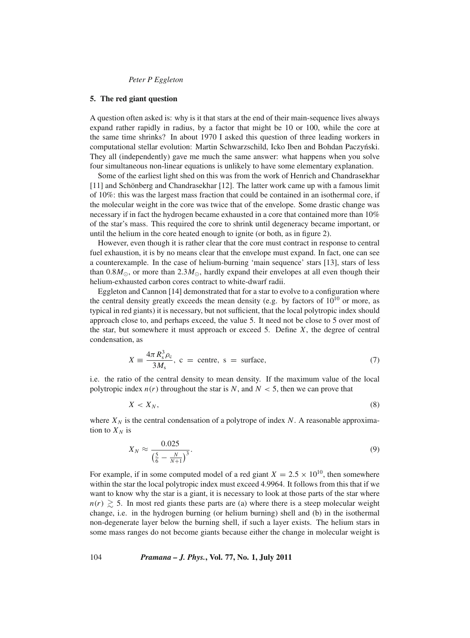### *Peter P Eggleton*

### **5. The red giant question**

A question often asked is: why is it that stars at the end of their main-sequence lives always expand rather rapidly in radius, by a factor that might be 10 or 100, while the core at the same time shrinks? In about 1970 I asked this question of three leading workers in computational stellar evolution: Martin Schwarzschild, Icko Iben and Bohdan Paczyński. They all (independently) gave me much the same answer: what happens when you solve four simultaneous non-linear equations is unlikely to have some elementary explanation.

Some of the earliest light shed on this was from the work of Henrich and Chandrasekhar [11] and Schönberg and Chandrasekhar [12]. The latter work came up with a famous limit of 10%: this was the largest mass fraction that could be contained in an isothermal core, if the molecular weight in the core was twice that of the envelope. Some drastic change was necessary if in fact the hydrogen became exhausted in a core that contained more than 10% of the star's mass. This required the core to shrink until degeneracy became important, or until the helium in the core heated enough to ignite (or both, as in figure 2).

However, even though it is rather clear that the core must contract in response to central fuel exhaustion, it is by no means clear that the envelope must expand. In fact, one can see a counterexample. In the case of helium-burning 'main sequence' stars [13], stars of less than  $0.8M_{\odot}$ , or more than  $2.3M_{\odot}$ , hardly expand their envelopes at all even though their helium-exhausted carbon cores contract to white-dwarf radii.

Eggleton and Cannon [14] demonstrated that for a star to evolve to a configuration where the central density greatly exceeds the mean density (e.g. by factors of  $10^{10}$  or more, as typical in red giants) it is necessary, but not sufficient, that the local polytropic index should approach close to, and perhaps exceed, the value 5. It need not be close to 5 over most of the star, but somewhere it must approach or exceed 5. Define *X*, the degree of central condensation, as

$$
X \equiv \frac{4\pi R_s^3 \rho_c}{3M_s}, \ c = \text{centre}, \ s = \text{surface}, \tag{7}
$$

i.e. the ratio of the central density to mean density. If the maximum value of the local polytropic index  $n(r)$  throughout the star is *N*, and  $N < 5$ , then we can prove that

$$
X < X_N,\tag{8}
$$

where  $X_N$  is the central condensation of a polytrope of index N. A reasonable approximation to  $X_N$  is

$$
X_N \approx \frac{0.025}{\left(\frac{5}{6} - \frac{N}{N+1}\right)^3}.
$$
\n(9)

For example, if in some computed model of a red giant  $X = 2.5 \times 10^{10}$ , then somewhere within the star the local polytropic index must exceed 4.9964. It follows from this that if we want to know why the star is a giant, it is necessary to look at those parts of the star where  $n(r) \gtrsim 5$ . In most red giants these parts are (a) where there is a steep molecular weight change, i.e. in the hydrogen burning (or helium burning) shell and (b) in the isothermal non-degenerate layer below the burning shell, if such a layer exists. The helium stars in some mass ranges do not become giants because either the change in molecular weight is

104 *Pramana – J. Phys.***, Vol. 77, No. 1, July 2011**